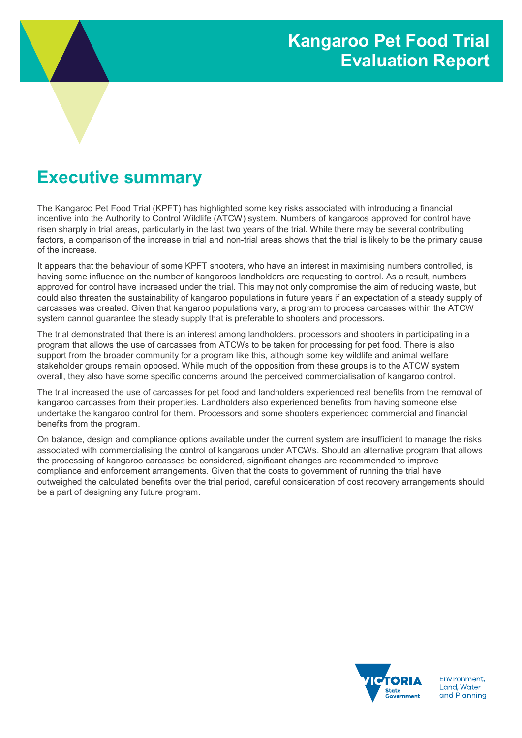# Executive summary

The Kangaroo Pet Food Trial (KPFT) has highlighted some key risks associated with introducing a financial incentive into the Authority to Control Wildlife (ATCW) system. Numbers of kangaroos approved for control have risen sharply in trial areas, particularly in the last two years of the trial. While there may be several contributing factors, a comparison of the increase in trial and non-trial areas shows that the trial is likely to be the primary cause of the increase.

It appears that the behaviour of some KPFT shooters, who have an interest in maximising numbers controlled, is having some influence on the number of kangaroos landholders are requesting to control. As a result, numbers approved for control have increased under the trial. This may not only compromise the aim of reducing waste, but could also threaten the sustainability of kangaroo populations in future years if an expectation of a steady supply of carcasses was created. Given that kangaroo populations vary, a program to process carcasses within the ATCW system cannot guarantee the steady supply that is preferable to shooters and processors.

The trial demonstrated that there is an interest among landholders, processors and shooters in participating in a program that allows the use of carcasses from ATCWs to be taken for processing for pet food. There is also support from the broader community for a program like this, although some key wildlife and animal welfare stakeholder groups remain opposed. While much of the opposition from these groups is to the ATCW system overall, they also have some specific concerns around the perceived commercialisation of kangaroo control.

The trial increased the use of carcasses for pet food and landholders experienced real benefits from the removal of kangaroo carcasses from their properties. Landholders also experienced benefits from having someone else undertake the kangaroo control for them. Processors and some shooters experienced commercial and financial benefits from the program.

On balance, design and compliance options available under the current system are insufficient to manage the risks associated with commercialising the control of kangaroos under ATCWs. Should an alternative program that allows the processing of kangaroo carcasses be considered, significant changes are recommended to improve compliance and enforcement arrangements. Given that the costs to government of running the trial have outweighed the calculated benefits over the trial period, careful consideration of cost recovery arrangements should be a part of designing any future program.



Fnvironment. Land, Water and Planning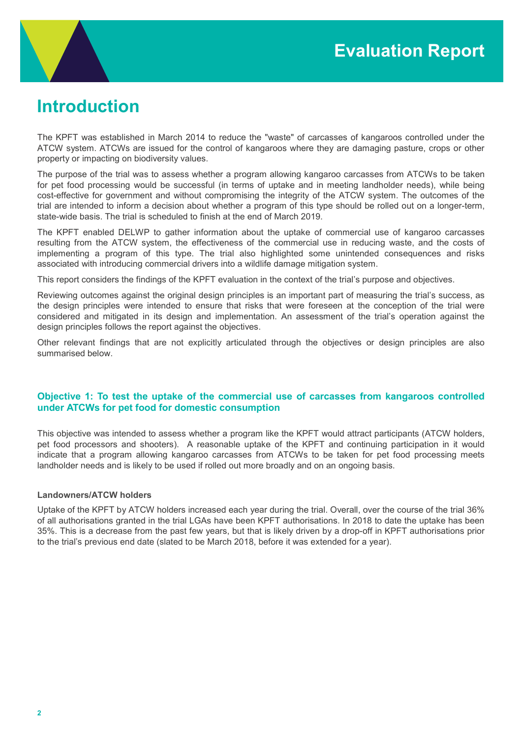

# Introduction

The KPFT was established in March 2014 to reduce the "waste" of carcasses of kangaroos controlled under the ATCW system. ATCWs are issued for the control of kangaroos where they are damaging pasture, crops or other property or impacting on biodiversity values.

The purpose of the trial was to assess whether a program allowing kangaroo carcasses from ATCWs to be taken for pet food processing would be successful (in terms of uptake and in meeting landholder needs), while being cost-effective for government and without compromising the integrity of the ATCW system. The outcomes of the trial are intended to inform a decision about whether a program of this type should be rolled out on a longer-term, state-wide basis. The trial is scheduled to finish at the end of March 2019.

The KPFT enabled DELWP to gather information about the uptake of commercial use of kangaroo carcasses resulting from the ATCW system, the effectiveness of the commercial use in reducing waste, and the costs of implementing a program of this type. The trial also highlighted some unintended consequences and risks associated with introducing commercial drivers into a wildlife damage mitigation system.

This report considers the findings of the KPFT evaluation in the context of the trial's purpose and objectives.

Reviewing outcomes against the original design principles is an important part of measuring the trial's success, as the design principles were intended to ensure that risks that were foreseen at the conception of the trial were considered and mitigated in its design and implementation. An assessment of the trial's operation against the design principles follows the report against the objectives.

Other relevant findings that are not explicitly articulated through the objectives or design principles are also summarised below.

## Objective 1: To test the uptake of the commercial use of carcasses from kangaroos controlled under ATCWs for pet food for domestic consumption

This objective was intended to assess whether a program like the KPFT would attract participants (ATCW holders, pet food processors and shooters). A reasonable uptake of the KPFT and continuing participation in it would indicate that a program allowing kangaroo carcasses from ATCWs to be taken for pet food processing meets landholder needs and is likely to be used if rolled out more broadly and on an ongoing basis.

## Landowners/ATCW holders

Uptake of the KPFT by ATCW holders increased each year during the trial. Overall, over the course of the trial 36% of all authorisations granted in the trial LGAs have been KPFT authorisations. In 2018 to date the uptake has been 35%. This is a decrease from the past few years, but that is likely driven by a drop-off in KPFT authorisations prior to the trial's previous end date (slated to be March 2018, before it was extended for a year).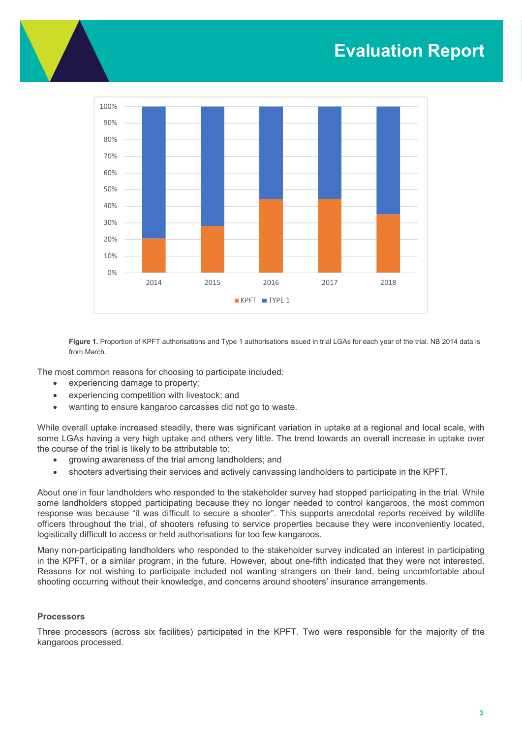# Evaluation Report



Figure 1. Proportion of KPFT authorisations and Type 1 authorisations issued in trial LGAs for each year of the trial. NB 2014 data is from March.

The most common reasons for choosing to participate included:

- experiencing damage to property;
- experiencing competition with livestock; and
- wanting to ensure kangaroo carcasses did not go to waste.

While overall uptake increased steadily, there was significant variation in uptake at a regional and local scale, with some LGAs having a very high uptake and others very little. The trend towards an overall increase in uptake over the course of the trial is likely to be attributable to:

- growing awareness of the trial among landholders; and
- shooters advertising their services and actively canvassing landholders to participate in the KPFT.

About one in four landholders who responded to the stakeholder survey had stopped participating in the trial. While some landholders stopped participating because they no longer needed to control kangaroos, the most common response was because "it was difficult to secure a shooter". This supports anecdotal reports received by wildlife officers throughout the trial, of shooters refusing to service properties because they were inconveniently located, logistically difficult to access or held authorisations for too few kangaroos.

Many non-participating landholders who responded to the stakeholder survey indicated an interest in participating in the KPFT, or a similar program, in the future. However, about one-fifth indicated that they were not interested. Reasons for not wishing to participate included not wanting strangers on their land, being uncomfortable about shooting occurring without their knowledge, and concerns around shooters' insurance arrangements.

#### **Processors**

Three processors (across six facilities) participated in the KPFT. Two were responsible for the majority of the kangaroos processed.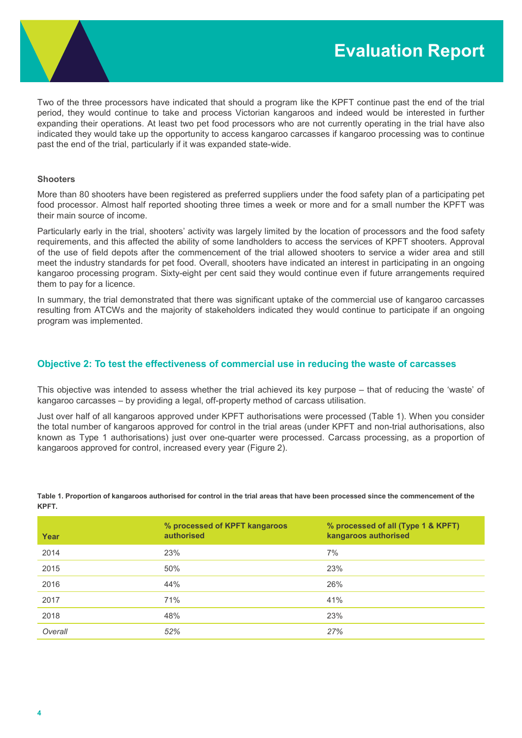

Two of the three processors have indicated that should a program like the KPFT continue past the end of the trial period, they would continue to take and process Victorian kangaroos and indeed would be interested in further expanding their operations. At least two pet food processors who are not currently operating in the trial have also indicated they would take up the opportunity to access kangaroo carcasses if kangaroo processing was to continue past the end of the trial, particularly if it was expanded state-wide.

#### **Shooters**

More than 80 shooters have been registered as preferred suppliers under the food safety plan of a participating pet food processor. Almost half reported shooting three times a week or more and for a small number the KPFT was their main source of income.

Particularly early in the trial, shooters' activity was largely limited by the location of processors and the food safety requirements, and this affected the ability of some landholders to access the services of KPFT shooters. Approval of the use of field depots after the commencement of the trial allowed shooters to service a wider area and still meet the industry standards for pet food. Overall, shooters have indicated an interest in participating in an ongoing kangaroo processing program. Sixty-eight per cent said they would continue even if future arrangements required them to pay for a licence.

In summary, the trial demonstrated that there was significant uptake of the commercial use of kangaroo carcasses resulting from ATCWs and the majority of stakeholders indicated they would continue to participate if an ongoing program was implemented.

## Objective 2: To test the effectiveness of commercial use in reducing the waste of carcasses

This objective was intended to assess whether the trial achieved its key purpose – that of reducing the 'waste' of kangaroo carcasses – by providing a legal, off-property method of carcass utilisation.

Just over half of all kangaroos approved under KPFT authorisations were processed (Table 1). When you consider the total number of kangaroos approved for control in the trial areas (under KPFT and non-trial authorisations, also known as Type 1 authorisations) just over one-quarter were processed. Carcass processing, as a proportion of kangaroos approved for control, increased every year (Figure 2).

| Year    | % processed of KPFT kangaroos<br>authorised | % processed of all (Type 1 & KPFT)<br>kangaroos authorised |
|---------|---------------------------------------------|------------------------------------------------------------|
| 2014    | 23%                                         | 7%                                                         |
| 2015    | 50%                                         | 23%                                                        |
| 2016    | 44%                                         | 26%                                                        |
| 2017    | 71%                                         | 41%                                                        |
| 2018    | 48%                                         | 23%                                                        |
| Overall | 52%                                         | 27%                                                        |

Table 1. Proportion of kangaroos authorised for control in the trial areas that have been processed since the commencement of the KPFT.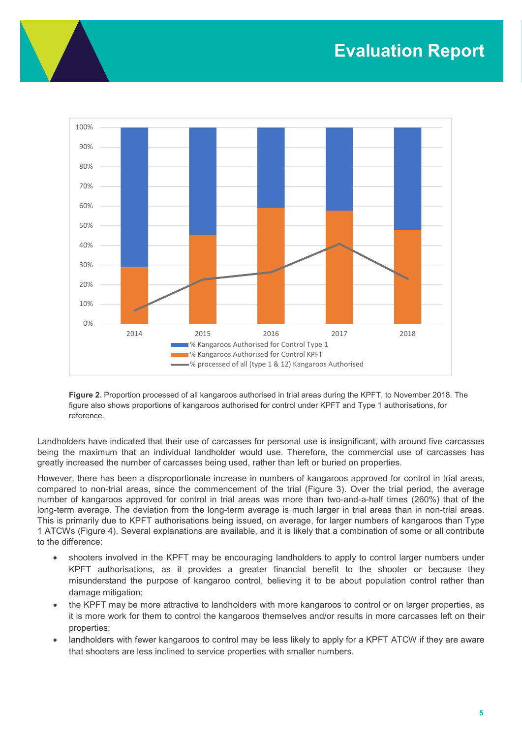

Figure 2. Proportion processed of all kangaroos authorised in trial areas during the KPFT, to November 2018. The figure also shows proportions of kangaroos authorised for control under KPFT and Type 1 authorisations, for reference.

Landholders have indicated that their use of carcasses for personal use is insignificant, with around five carcasses being the maximum that an individual landholder would use. Therefore, the commercial use of carcasses has greatly increased the number of carcasses being used, rather than left or buried on properties.

However, there has been a disproportionate increase in numbers of kangaroos approved for control in trial areas, compared to non-trial areas, since the commencement of the trial (Figure 3). Over the trial period, the average number of kangaroos approved for control in trial areas was more than two-and-a-half times (260%) that of the long-term average. The deviation from the long-term average is much larger in trial areas than in non-trial areas. This is primarily due to KPFT authorisations being issued, on average, for larger numbers of kangaroos than Type 1 ATCWs (Figure 4). Several explanations are available, and it is likely that a combination of some or all contribute to the difference:

- shooters involved in the KPFT may be encouraging landholders to apply to control larger numbers under KPFT authorisations, as it provides a greater financial benefit to the shooter or because they misunderstand the purpose of kangaroo control, believing it to be about population control rather than damage mitigation;
- the KPFT may be more attractive to landholders with more kangaroos to control or on larger properties, as it is more work for them to control the kangaroos themselves and/or results in more carcasses left on their properties;
- landholders with fewer kangaroos to control may be less likely to apply for a KPFT ATCW if they are aware that shooters are less inclined to service properties with smaller numbers.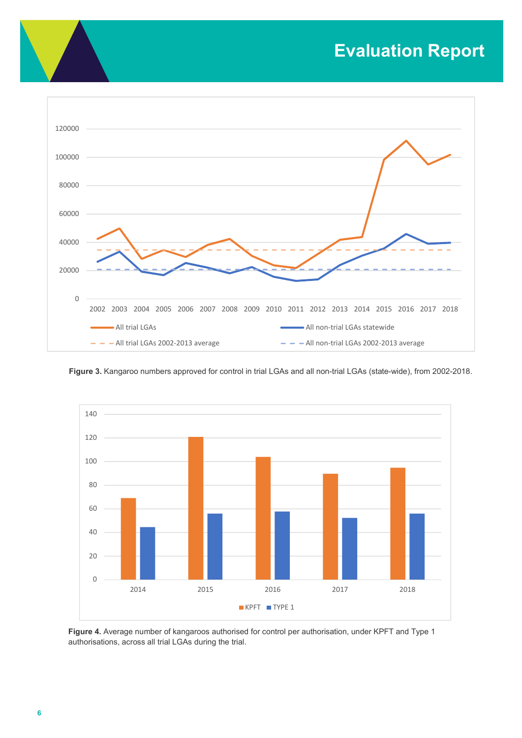# Evaluation Report



Figure 3. Kangaroo numbers approved for control in trial LGAs and all non-trial LGAs (state-wide), from 2002-2018.



Figure 4. Average number of kangaroos authorised for control per authorisation, under KPFT and Type 1 authorisations, across all trial LGAs during the trial.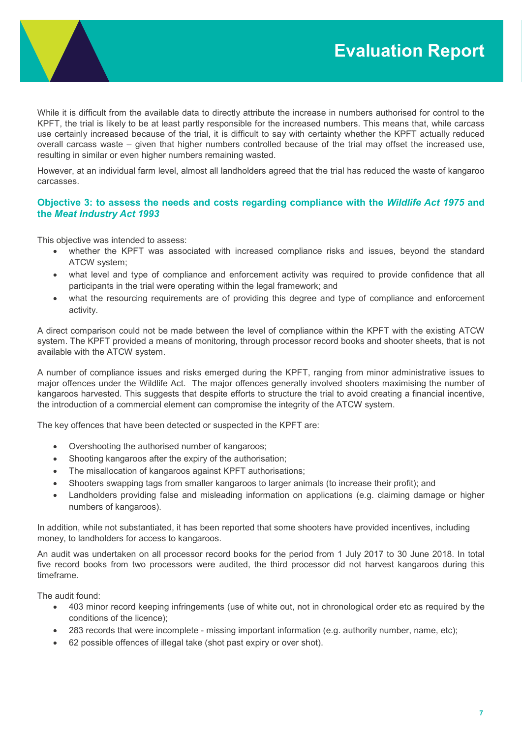

While it is difficult from the available data to directly attribute the increase in numbers authorised for control to the KPFT, the trial is likely to be at least partly responsible for the increased numbers. This means that, while carcass use certainly increased because of the trial, it is difficult to say with certainty whether the KPFT actually reduced overall carcass waste – given that higher numbers controlled because of the trial may offset the increased use, resulting in similar or even higher numbers remaining wasted.

However, at an individual farm level, almost all landholders agreed that the trial has reduced the waste of kangaroo carcasses.

## Objective 3: to assess the needs and costs regarding compliance with the Wildlife Act 1975 and the Meat Industry Act 1993

This objective was intended to assess:

- whether the KPFT was associated with increased compliance risks and issues, beyond the standard ATCW system;
- what level and type of compliance and enforcement activity was required to provide confidence that all participants in the trial were operating within the legal framework; and
- what the resourcing requirements are of providing this degree and type of compliance and enforcement activity.

A direct comparison could not be made between the level of compliance within the KPFT with the existing ATCW system. The KPFT provided a means of monitoring, through processor record books and shooter sheets, that is not available with the ATCW system.

A number of compliance issues and risks emerged during the KPFT, ranging from minor administrative issues to major offences under the Wildlife Act. The major offences generally involved shooters maximising the number of kangaroos harvested. This suggests that despite efforts to structure the trial to avoid creating a financial incentive, the introduction of a commercial element can compromise the integrity of the ATCW system.

The key offences that have been detected or suspected in the KPFT are:

- Overshooting the authorised number of kangaroos;
- Shooting kangaroos after the expiry of the authorisation;
- The misallocation of kangaroos against KPFT authorisations;
- Shooters swapping tags from smaller kangaroos to larger animals (to increase their profit); and
- Landholders providing false and misleading information on applications (e.g. claiming damage or higher numbers of kangaroos).

In addition, while not substantiated, it has been reported that some shooters have provided incentives, including money, to landholders for access to kangaroos.

An audit was undertaken on all processor record books for the period from 1 July 2017 to 30 June 2018. In total five record books from two processors were audited, the third processor did not harvest kangaroos during this timeframe.

The audit found:

- 403 minor record keeping infringements (use of white out, not in chronological order etc as required by the conditions of the licence);
- 283 records that were incomplete missing important information (e.g. authority number, name, etc);
- 62 possible offences of illegal take (shot past expiry or over shot).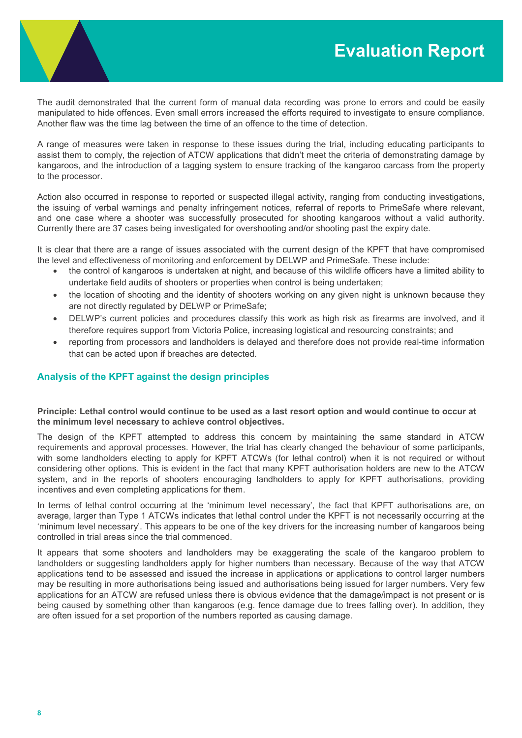

The audit demonstrated that the current form of manual data recording was prone to errors and could be easily manipulated to hide offences. Even small errors increased the efforts required to investigate to ensure compliance. Another flaw was the time lag between the time of an offence to the time of detection.

A range of measures were taken in response to these issues during the trial, including educating participants to assist them to comply, the rejection of ATCW applications that didn't meet the criteria of demonstrating damage by kangaroos, and the introduction of a tagging system to ensure tracking of the kangaroo carcass from the property to the processor.

Action also occurred in response to reported or suspected illegal activity, ranging from conducting investigations, the issuing of verbal warnings and penalty infringement notices, referral of reports to PrimeSafe where relevant, and one case where a shooter was successfully prosecuted for shooting kangaroos without a valid authority. Currently there are 37 cases being investigated for overshooting and/or shooting past the expiry date.

It is clear that there are a range of issues associated with the current design of the KPFT that have compromised the level and effectiveness of monitoring and enforcement by DELWP and PrimeSafe. These include:

- the control of kangaroos is undertaken at night, and because of this wildlife officers have a limited ability to undertake field audits of shooters or properties when control is being undertaken;
- the location of shooting and the identity of shooters working on any given night is unknown because they are not directly regulated by DELWP or PrimeSafe;
- DELWP's current policies and procedures classify this work as high risk as firearms are involved, and it therefore requires support from Victoria Police, increasing logistical and resourcing constraints; and
- reporting from processors and landholders is delayed and therefore does not provide real-time information that can be acted upon if breaches are detected.

# Analysis of the KPFT against the design principles

### Principle: Lethal control would continue to be used as a last resort option and would continue to occur at the minimum level necessary to achieve control objectives.

The design of the KPFT attempted to address this concern by maintaining the same standard in ATCW requirements and approval processes. However, the trial has clearly changed the behaviour of some participants, with some landholders electing to apply for KPFT ATCWs (for lethal control) when it is not required or without considering other options. This is evident in the fact that many KPFT authorisation holders are new to the ATCW system, and in the reports of shooters encouraging landholders to apply for KPFT authorisations, providing incentives and even completing applications for them.

In terms of lethal control occurring at the 'minimum level necessary', the fact that KPFT authorisations are, on average, larger than Type 1 ATCWs indicates that lethal control under the KPFT is not necessarily occurring at the 'minimum level necessary'. This appears to be one of the key drivers for the increasing number of kangaroos being controlled in trial areas since the trial commenced.

It appears that some shooters and landholders may be exaggerating the scale of the kangaroo problem to landholders or suggesting landholders apply for higher numbers than necessary. Because of the way that ATCW applications tend to be assessed and issued the increase in applications or applications to control larger numbers may be resulting in more authorisations being issued and authorisations being issued for larger numbers. Very few applications for an ATCW are refused unless there is obvious evidence that the damage/impact is not present or is being caused by something other than kangaroos (e.g. fence damage due to trees falling over). In addition, they are often issued for a set proportion of the numbers reported as causing damage.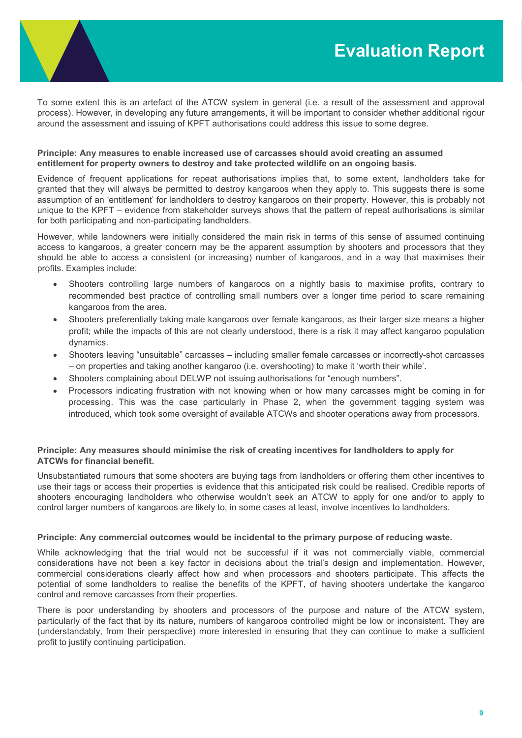

To some extent this is an artefact of the ATCW system in general (i.e. a result of the assessment and approval process). However, in developing any future arrangements, it will be important to consider whether additional rigour around the assessment and issuing of KPFT authorisations could address this issue to some degree.

## Principle: Any measures to enable increased use of carcasses should avoid creating an assumed entitlement for property owners to destroy and take protected wildlife on an ongoing basis.

Evidence of frequent applications for repeat authorisations implies that, to some extent, landholders take for granted that they will always be permitted to destroy kangaroos when they apply to. This suggests there is some assumption of an 'entitlement' for landholders to destroy kangaroos on their property. However, this is probably not unique to the KPFT – evidence from stakeholder surveys shows that the pattern of repeat authorisations is similar for both participating and non-participating landholders.

However, while landowners were initially considered the main risk in terms of this sense of assumed continuing access to kangaroos, a greater concern may be the apparent assumption by shooters and processors that they should be able to access a consistent (or increasing) number of kangaroos, and in a way that maximises their profits. Examples include:

- Shooters controlling large numbers of kangaroos on a nightly basis to maximise profits, contrary to recommended best practice of controlling small numbers over a longer time period to scare remaining kangaroos from the area.
- Shooters preferentially taking male kangaroos over female kangaroos, as their larger size means a higher profit; while the impacts of this are not clearly understood, there is a risk it may affect kangaroo population dynamics.
- Shooters leaving "unsuitable" carcasses including smaller female carcasses or incorrectly-shot carcasses – on properties and taking another kangaroo (i.e. overshooting) to make it 'worth their while'.
- Shooters complaining about DELWP not issuing authorisations for "enough numbers".
- Processors indicating frustration with not knowing when or how many carcasses might be coming in for processing. This was the case particularly in Phase 2, when the government tagging system was introduced, which took some oversight of available ATCWs and shooter operations away from processors.

## Principle: Any measures should minimise the risk of creating incentives for landholders to apply for ATCWs for financial benefit.

Unsubstantiated rumours that some shooters are buying tags from landholders or offering them other incentives to use their tags or access their properties is evidence that this anticipated risk could be realised. Credible reports of shooters encouraging landholders who otherwise wouldn't seek an ATCW to apply for one and/or to apply to control larger numbers of kangaroos are likely to, in some cases at least, involve incentives to landholders.

## Principle: Any commercial outcomes would be incidental to the primary purpose of reducing waste.

While acknowledging that the trial would not be successful if it was not commercially viable, commercial considerations have not been a key factor in decisions about the trial's design and implementation. However, commercial considerations clearly affect how and when processors and shooters participate. This affects the potential of some landholders to realise the benefits of the KPFT, of having shooters undertake the kangaroo control and remove carcasses from their properties.

There is poor understanding by shooters and processors of the purpose and nature of the ATCW system, particularly of the fact that by its nature, numbers of kangaroos controlled might be low or inconsistent. They are (understandably, from their perspective) more interested in ensuring that they can continue to make a sufficient profit to justify continuing participation.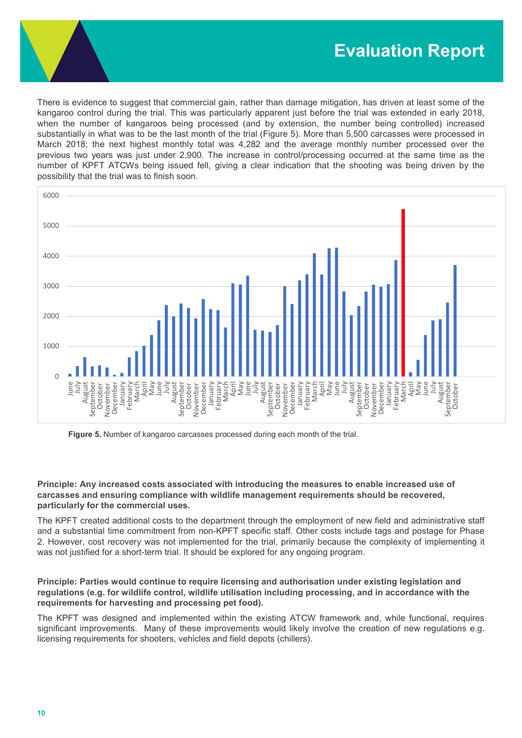There is evidence to suggest that commercial gain, rather than damage mitigation, has driven at least some of the kangaroo control during the trial. This was particularly apparent just before the trial was extended in early 2018, when the number of kangaroos being processed (and by extension, the number being controlled) increased substantially in what was to be the last month of the trial (Figure 5). More than 5,500 carcasses were processed in March 2018; the next highest monthly total was 4,282 and the average monthly number processed over the previous two years was just under 2,900. The increase in control/processing occurred at the same time as the number of KPFT ATCWs being issued fell, giving a clear indication that the shooting was being driven by the possibility that the trial was to finish soon.



Figure 5. Number of kangaroo carcasses processed during each month of the trial.

Principle: Any increased costs associated with introducing the measures to enable increased use of carcasses and ensuring compliance with wildlife management requirements should be recovered, particularly for the commercial uses.

The KPFT created additional costs to the department through the employment of new field and administrative staff and a substantial time commitment from non-KPFT specific staff. Other costs include tags and postage for Phase 2. However, cost recovery was not implemented for the trial, primarily because the complexity of implementing it was not justified for a short-term trial. It should be explored for any ongoing program.

Principle: Parties would continue to require licensing and authorisation under existing legislation and regulations (e.g. for wildlife control, wildlife utilisation including processing, and in accordance with the requirements for harvesting and processing pet food).

The KPFT was designed and implemented within the existing ATCW framework and, while functional, requires significant improvements. Many of these improvements would likely involve the creation of new regulations e.g. licensing requirements for shooters, vehicles and field depots (chillers).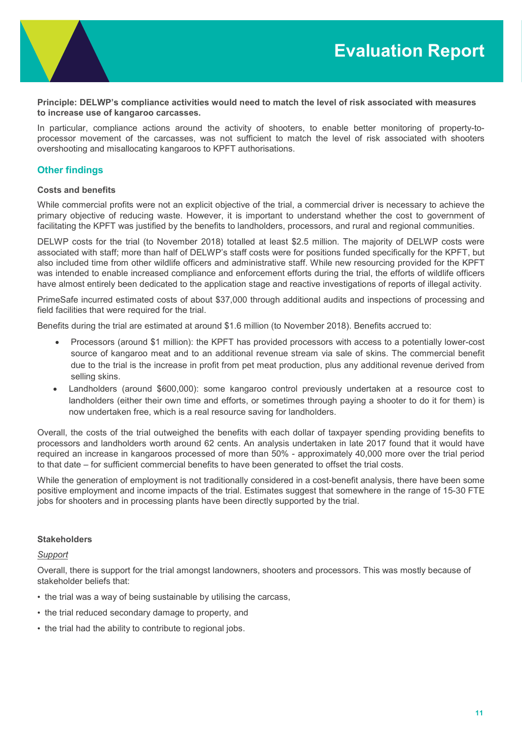

Principle: DELWP's compliance activities would need to match the level of risk associated with measures to increase use of kangaroo carcasses.

In particular, compliance actions around the activity of shooters, to enable better monitoring of property-toprocessor movement of the carcasses, was not sufficient to match the level of risk associated with shooters overshooting and misallocating kangaroos to KPFT authorisations.

# Other findings

### Costs and benefits

While commercial profits were not an explicit objective of the trial, a commercial driver is necessary to achieve the primary objective of reducing waste. However, it is important to understand whether the cost to government of facilitating the KPFT was justified by the benefits to landholders, processors, and rural and regional communities.

DELWP costs for the trial (to November 2018) totalled at least \$2.5 million. The majority of DELWP costs were associated with staff; more than half of DELWP's staff costs were for positions funded specifically for the KPFT, but also included time from other wildlife officers and administrative staff. While new resourcing provided for the KPFT was intended to enable increased compliance and enforcement efforts during the trial, the efforts of wildlife officers have almost entirely been dedicated to the application stage and reactive investigations of reports of illegal activity.

PrimeSafe incurred estimated costs of about \$37,000 through additional audits and inspections of processing and field facilities that were required for the trial.

Benefits during the trial are estimated at around \$1.6 million (to November 2018). Benefits accrued to:

- Processors (around \$1 million): the KPFT has provided processors with access to a potentially lower-cost source of kangaroo meat and to an additional revenue stream via sale of skins. The commercial benefit due to the trial is the increase in profit from pet meat production, plus any additional revenue derived from selling skins.
- Landholders (around \$600,000): some kangaroo control previously undertaken at a resource cost to landholders (either their own time and efforts, or sometimes through paying a shooter to do it for them) is now undertaken free, which is a real resource saving for landholders.

Overall, the costs of the trial outweighed the benefits with each dollar of taxpayer spending providing benefits to processors and landholders worth around 62 cents. An analysis undertaken in late 2017 found that it would have required an increase in kangaroos processed of more than 50% - approximately 40,000 more over the trial period to that date – for sufficient commercial benefits to have been generated to offset the trial costs.

While the generation of employment is not traditionally considered in a cost-benefit analysis, there have been some positive employment and income impacts of the trial. Estimates suggest that somewhere in the range of 15-30 FTE jobs for shooters and in processing plants have been directly supported by the trial.

#### **Stakeholders**

#### Support

Overall, there is support for the trial amongst landowners, shooters and processors. This was mostly because of stakeholder beliefs that:

- the trial was a way of being sustainable by utilising the carcass,
- the trial reduced secondary damage to property, and
- the trial had the ability to contribute to regional jobs.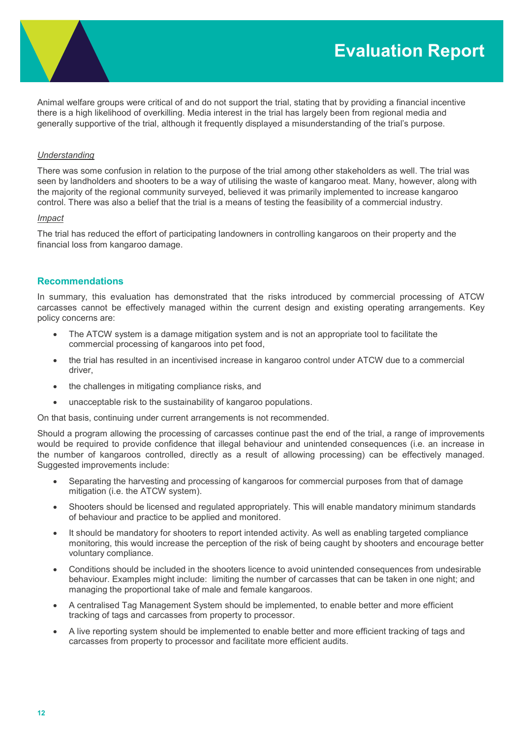Animal welfare groups were critical of and do not support the trial, stating that by providing a financial incentive there is a high likelihood of overkilling. Media interest in the trial has largely been from regional media and generally supportive of the trial, although it frequently displayed a misunderstanding of the trial's purpose.

#### Understanding

There was some confusion in relation to the purpose of the trial among other stakeholders as well. The trial was seen by landholders and shooters to be a way of utilising the waste of kangaroo meat. Many, however, along with the majority of the regional community surveyed, believed it was primarily implemented to increase kangaroo control. There was also a belief that the trial is a means of testing the feasibility of a commercial industry.

#### Impact

The trial has reduced the effort of participating landowners in controlling kangaroos on their property and the financial loss from kangaroo damage.

### Recommendations

In summary, this evaluation has demonstrated that the risks introduced by commercial processing of ATCW carcasses cannot be effectively managed within the current design and existing operating arrangements. Key policy concerns are:

- The ATCW system is a damage mitigation system and is not an appropriate tool to facilitate the commercial processing of kangaroos into pet food,
- the trial has resulted in an incentivised increase in kangaroo control under ATCW due to a commercial driver,
- the challenges in mitigating compliance risks, and
- unacceptable risk to the sustainability of kangaroo populations.

On that basis, continuing under current arrangements is not recommended.

Should a program allowing the processing of carcasses continue past the end of the trial, a range of improvements would be required to provide confidence that illegal behaviour and unintended consequences (i.e. an increase in the number of kangaroos controlled, directly as a result of allowing processing) can be effectively managed. Suggested improvements include:

- Separating the harvesting and processing of kangaroos for commercial purposes from that of damage mitigation (i.e. the ATCW system).
- Shooters should be licensed and regulated appropriately. This will enable mandatory minimum standards of behaviour and practice to be applied and monitored.
- It should be mandatory for shooters to report intended activity. As well as enabling targeted compliance monitoring, this would increase the perception of the risk of being caught by shooters and encourage better voluntary compliance.
- Conditions should be included in the shooters licence to avoid unintended consequences from undesirable behaviour. Examples might include: limiting the number of carcasses that can be taken in one night; and managing the proportional take of male and female kangaroos.
- A centralised Tag Management System should be implemented, to enable better and more efficient tracking of tags and carcasses from property to processor.
- A live reporting system should be implemented to enable better and more efficient tracking of tags and carcasses from property to processor and facilitate more efficient audits.